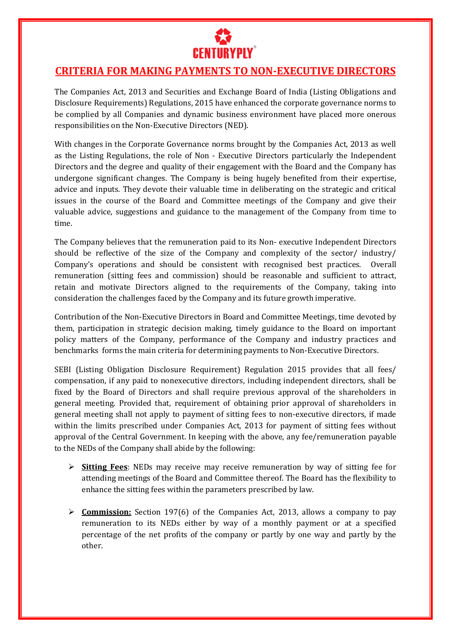

## **CRITERIA FOR MAKING PAYMENTS TO NON-EXECUTIVE DIRECTORS**

The Companies Act, 2013 and Securities and Exchange Board of India (Listing Obligations and Disclosure Requirements) Regulations, 2015 have enhanced the corporate governance norms to be complied by all Companies and dynamic business environment have placed more onerous responsibilities on the Non-Executive Directors (NED).

With changes in the Corporate Governance norms brought by the Companies Act, 2013 as well as the Listing Regulations, the role of Non - Executive Directors particularly the Independent Directors and the degree and quality of their engagement with the Board and the Company has undergone significant changes. The Company is being hugely benefited from their expertise, advice and inputs. They devote their valuable time in deliberating on the strategic and critical issues in the course of the Board and Committee meetings of the Company and give their valuable advice, suggestions and guidance to the management of the Company from time to time.

The Company believes that the remuneration paid to its Non- executive Independent Directors should be reflective of the size of the Company and complexity of the sector/ industry/ Company's operations and should be consistent with recognised best practices. Overall remuneration (sitting fees and commission) should be reasonable and sufficient to attract, retain and motivate Directors aligned to the requirements of the Company, taking into consideration the challenges faced by the Company and its future growth imperative.

Contribution of the Non-Executive Directors in Board and Committee Meetings, time devoted by them, participation in strategic decision making, timely guidance to the Board on important policy matters of the Company, performance of the Company and industry practices and benchmarks forms the main criteria for determining payments to Non-Executive Directors.

SEBI (Listing Obligation Disclosure Requirement) Regulation 2015 provides that all fees/ compensation, if any paid to nonexecutive directors, including independent directors, shall be fixed by the Board of Directors and shall require previous approval of the shareholders in general meeting. Provided that, requirement of obtaining prior approval of shareholders in general meeting shall not apply to payment of sitting fees to non-executive directors, if made within the limits prescribed under Companies Act, 2013 for payment of sitting fees without approval of the Central Government. In keeping with the above, any fee/remuneration payable to the NEDs of the Company shall abide by the following:

- **Sitting Fees**: NEDs may receive may receive remuneration by way of sitting fee for attending meetings of the Board and Committee thereof. The Board has the flexibility to enhance the sitting fees within the parameters prescribed by law.
- **Commission:** Section 197(6) of the Companies Act, 2013, allows a company to pay remuneration to its NEDs either by way of a monthly payment or at a specified percentage of the net profits of the company or partly by one way and partly by the other.